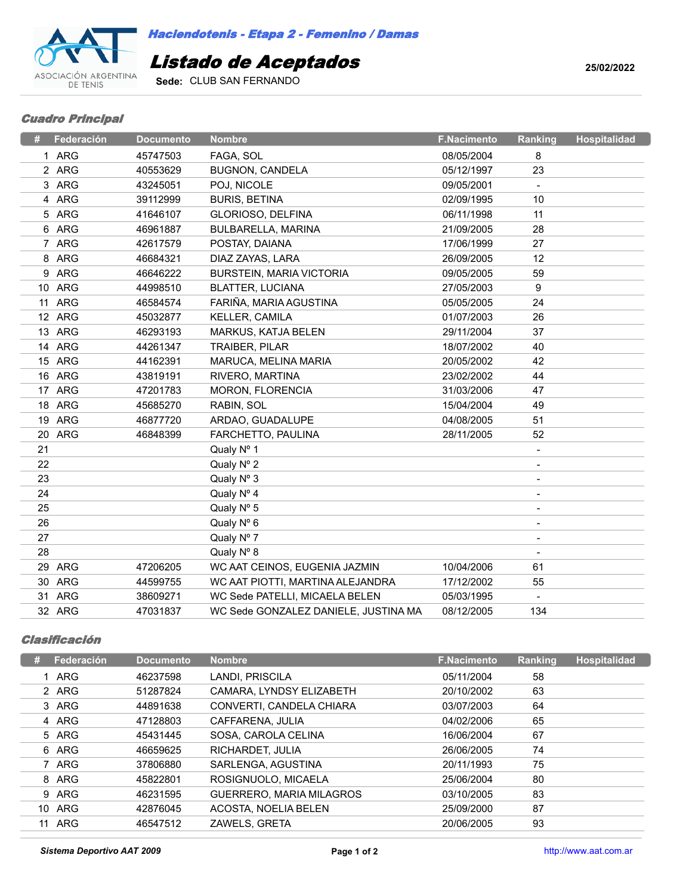

*Haciendotenis - Etapa 2 - Femenino / Damas*

## *Listado de Aceptados*

**Sede:** CLUB SAN FERNANDO

**25/02/2022**

## *Cuadro Principal*

|    | Federación | <b>Documento</b> | <b>Nombre</b>                        | <b>F.Nacimento</b> | Ranking        | <b>Hospitalidad</b> |
|----|------------|------------------|--------------------------------------|--------------------|----------------|---------------------|
|    | 1 ARG      | 45747503         | FAGA, SOL                            | 08/05/2004         | 8              |                     |
|    | 2 ARG      | 40553629         | <b>BUGNON, CANDELA</b>               | 05/12/1997         | 23             |                     |
|    | 3 ARG      | 43245051         | POJ, NICOLE                          | 09/05/2001         |                |                     |
|    | 4 ARG      | 39112999         | <b>BURIS, BETINA</b>                 | 02/09/1995         | 10             |                     |
|    | 5 ARG      | 41646107         | GLORIOSO, DELFINA                    | 06/11/1998         | 11             |                     |
|    | 6 ARG      | 46961887         | BULBARELLA, MARINA                   | 21/09/2005         | 28             |                     |
|    | 7 ARG      | 42617579         | POSTAY, DAIANA                       | 17/06/1999         | 27             |                     |
|    | 8 ARG      | 46684321         | DIAZ ZAYAS, LARA                     | 26/09/2005         | 12             |                     |
|    | 9 ARG      | 46646222         | <b>BURSTEIN, MARIA VICTORIA</b>      | 09/05/2005         | 59             |                     |
|    | 10 ARG     | 44998510         | <b>BLATTER, LUCIANA</b>              | 27/05/2003         | 9              |                     |
|    | 11 ARG     | 46584574         | FARIÑA, MARIA AGUSTINA               | 05/05/2005         | 24             |                     |
|    | 12 ARG     | 45032877         | KELLER, CAMILA                       | 01/07/2003         | 26             |                     |
|    | 13 ARG     | 46293193         | MARKUS, KATJA BELEN                  | 29/11/2004         | 37             |                     |
|    | 14 ARG     | 44261347         | TRAIBER, PILAR                       | 18/07/2002         | 40             |                     |
|    | 15 ARG     | 44162391         | MARUCA, MELINA MARIA                 | 20/05/2002         | 42             |                     |
|    | 16 ARG     | 43819191         | RIVERO, MARTINA                      | 23/02/2002         | 44             |                     |
|    | 17 ARG     | 47201783         | MORON, FLORENCIA                     | 31/03/2006         | 47             |                     |
|    | 18 ARG     | 45685270         | RABIN, SOL                           | 15/04/2004         | 49             |                     |
|    | 19 ARG     | 46877720         | ARDAO, GUADALUPE                     | 04/08/2005         | 51             |                     |
|    | 20 ARG     | 46848399         | FARCHETTO, PAULINA                   | 28/11/2005         | 52             |                     |
| 21 |            |                  | Qualy Nº 1                           |                    |                |                     |
| 22 |            |                  | Qualy Nº 2                           |                    |                |                     |
| 23 |            |                  | Qualy Nº 3                           |                    |                |                     |
| 24 |            |                  | Qualy Nº 4                           |                    |                |                     |
| 25 |            |                  | Qualy Nº 5                           |                    |                |                     |
| 26 |            |                  | Qualy Nº 6                           |                    | $\overline{a}$ |                     |
| 27 |            |                  | Qualy Nº 7                           |                    |                |                     |
| 28 |            |                  | Qualy Nº 8                           |                    | $\blacksquare$ |                     |
|    | 29 ARG     | 47206205         | WC AAT CEINOS, EUGENIA JAZMIN        | 10/04/2006         | 61             |                     |
|    | 30 ARG     | 44599755         | WC AAT PIOTTI, MARTINA ALEJANDRA     | 17/12/2002         | 55             |                     |
|    | 31 ARG     | 38609271         | WC Sede PATELLI, MICAELA BELEN       | 05/03/1995         | $\sim$         |                     |
|    | 32 ARG     | 47031837         | WC Sede GONZALEZ DANIELE, JUSTINA MA | 08/12/2005         | 134            |                     |

## *Clasificación*

| # | Federación | <b>Documento</b> | <b>Nombre</b>            | <b>F.Nacimento</b> | <b>Ranking</b> | Hospitalidad |
|---|------------|------------------|--------------------------|--------------------|----------------|--------------|
|   | 1 ARG      | 46237598         | LANDI, PRISCILA          | 05/11/2004         | 58             |              |
|   | 2 ARG      | 51287824         | CAMARA, LYNDSY ELIZABETH | 20/10/2002         | 63             |              |
|   | 3 ARG      | 44891638         | CONVERTI, CANDELA CHIARA | 03/07/2003         | 64             |              |
|   | 4 ARG      | 47128803         | CAFFARENA, JULIA         | 04/02/2006         | 65             |              |
|   | 5 ARG      | 45431445         | SOSA, CAROLA CELINA      | 16/06/2004         | 67             |              |
|   | 6 ARG      | 46659625         | RICHARDET, JULIA         | 26/06/2005         | 74             |              |
|   | 7 ARG      | 37806880         | SARLENGA, AGUSTINA       | 20/11/1993         | 75             |              |
|   | 8 ARG      | 45822801         | ROSIGNUOLO, MICAELA      | 25/06/2004         | 80             |              |
|   | 9 ARG      | 46231595         | GUERRERO, MARIA MILAGROS | 03/10/2005         | 83             |              |
|   | 10 ARG     | 42876045         | ACOSTA, NOELIA BELEN     | 25/09/2000         | 87             |              |
|   | 11 ARG     | 46547512         | ZAWELS, GRETA            | 20/06/2005         | 93             |              |
|   |            |                  |                          |                    |                |              |